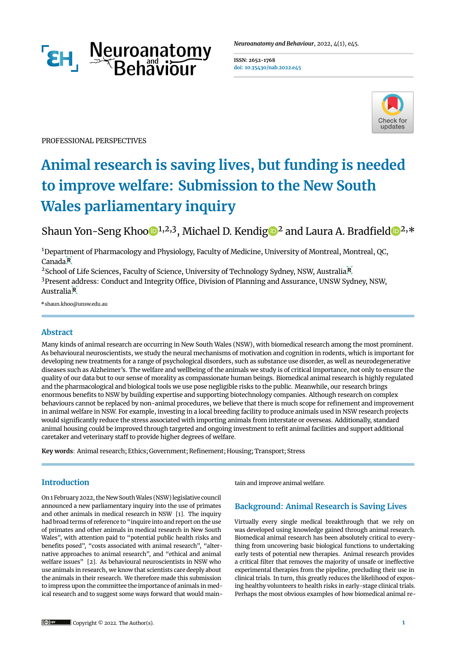

**ISSN: 2652-1768 doi: [10.35430/nab.2022.e45](https://doi.org/10.35430/nab.2022.e45)**



PROFESSIONAL PERSPECTIVES

# **Animal research is saving lives, but funding is needed to improve welfare: Submission to the New South Wales parliamentary inquiry**

Shaun Yon-Seng Khoo $\mathbb{D}^{1,2,3}$ , Michael D. Kendig $\mathbb{D}^2$  and Laura A. Bradfield  $\mathbb{D}^{2,*}$ 

<sup>1</sup>Department of Pharmacology and Physiology, Faculty of Medicine, University of Montreal, Montreal, QC,  $CanadaR$ 

<sup>2</sup>School of Life Sciences, F[a](https://ror.org/03f0f6041)culty of Science, University of Technology Sydney, NSW, Australia<sup>R</sup> <sup>3</sup>Present address: Conduct and Integrity Office, Division of Planning and Assurance, UNSW Sydney, NSW, Austr[a](https://ror.org/03r8z3t63)lia<sup>R</sup>

\*shaun.khoo@unsw.edu.au

# **Abstract**

Many kinds of animal research are occurring in New South Wales (NSW), with biomedical research among the most prominent. As behavioural neuroscientists, we study the neural mechanisms of motivation and cognition in rodents, which is important for developing new treatments for a range of psychological disorders, such as substance use disorder, as well as neurodegenerative diseases such as Alzheimer's. The welfare and wellbeing of the animals we study is of critical importance, not only to ensure the quality of our data but to our sense of morality as compassionate human beings. Biomedical animal research is highly regulated and the pharmacological and biological tools we use pose negligible risks to the public. Meanwhile, our research brings enormous benefts to NSW by building expertise and supporting biotechnology companies. Although research on complex behaviours cannot be replaced by non-animal procedures, we believe that there is much scope for refnement and improvement in animal welfare in NSW. For example, investing in a local breeding facility to produce animals used in NSW research projects would signifcantly reduce the stress associated with importing animals from interstate or overseas. Additionally, standard animal housing could be improved through targeted and ongoing investment to reft animal facilities and support additional caretaker and veterinary staff to provide higher degrees of welfare.

**Key words**: Animal research; Ethics; Government; Refnement; Housing; Transport; Stress

# **Introduction**

On 1 February 2022, the New SouthWales (NSW) legislative council announced a new parliamentary inquiry into the use of primates and other animals in medical research in NSW [\[1\]](#page-2-0). The inquiry had broad terms of reference to "inquire into and report on the use of primates and other animals in medical research in New South Wales", with attention paid to "potential public health risks and benefits posed", "costs associated with animal research", "alternative approaches to animal research", and "ethical and animal welfare issues" [\[2\].](#page-2-1) As behavioural neuroscientists in NSW who use animals in research, we know that scientists care deeply about the animals in their research. We therefore made this submission to impress upon the committee the importance of animals in medical research and to suggest some ways forward that would maintain and improve animal welfare.

# **Background: Animal Research is Saving Lives**

Virtually every single medical breakthrough that we rely on was developed using knowledge gained through animal research. Biomedical animal research has been absolutely critical to everything from uncovering basic biological functions to undertaking early tests of potential new therapies. Animal research provides a critical flter that removes the majority of unsafe or ineffective experimental therapies from the pipeline, precluding their use in clinical trials. In turn, this greatly reduces the likelihood of exposing healthy volunteers to health risks in early-stage clinical trials. Perhaps the most obvious examples of how biomedical animal re-

Copyright © 2022. The Author(s). **1**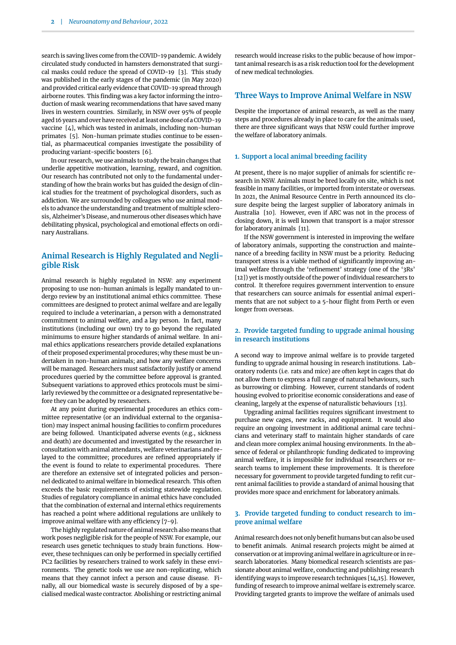search is saving lives come from the COVID-19 pandemic. A widely circulated study conducted in hamsters demonstrated that surgical masks could reduce the spread of COVID-19 [\[3\]](#page-2-2). This study was published in the early stages of the pandemic (in May 2020) and provided critical early evidence that COVID-19 spread through airborne routes. This finding was a key factor informing the introduction of mask wearing recommendations that have saved many lives in western countries. Similarly, in NSW over 95% of people aged 16 years and over have received at least one dose of a COVID-19 vaccine [\[4\]](#page-2-3), which was tested in animals, including non-human primates [\[5\].](#page-2-4) Non-human primate studies continue to be essential, as pharmaceutical companies investigate the possibility of producing variant-specific boosters [\[6\]](#page-2-5).

In our research, we use animals to study the brain changes that underlie appetitive motivation, learning, reward, and cognition. Our research has contributed not only to the fundamental understanding of how the brain works but has guided the design of clinical studies for the treatment of psychological disorders, such as addiction. We are surrounded by colleagues who use animal models to advance the understanding and treatment of multiple sclerosis, Alzheimer's Disease, and numerous other diseases which have debilitating physical, psychological and emotional effects on ordinary Australians.

## **Animal Research is Highly Regulated and Negligible Risk**

Animal research is highly regulated in NSW: any experiment proposing to use non-human animals is legally mandated to undergo review by an institutional animal ethics committee. These committees are designed to protect animal welfare and are legally required to include a veterinarian, a person with a demonstrated commitment to animal welfare, and a lay person. In fact, many institutions (including our own) try to go beyond the regulated minimums to ensure higher standards of animal welfare. In animal ethics applications researchers provide detailed explanations of their proposed experimental procedures; why these must be undertaken in non-human animals; and how any welfare concerns will be managed. Researchers must satisfactorily justify or amend procedures queried by the committee before approval is granted. Subsequent variations to approved ethics protocols must be similarly reviewed by the committee or a designated representative before they can be adopted by researchers.

At any point during experimental procedures an ethics committee representative (or an individual external to the organisation) may inspect animal housing facilities to confirm procedures are being followed. Unanticipated adverse events (e.g., sickness and death) are documented and investigated by the researcher in consultation with animal attendants, welfare veterinarians and relayed to the committee; procedures are refned appropriately if the event is found to relate to experimental procedures. There are therefore an extensive set of integrated policies and personnel dedicated to animal welfare in biomedical research. This often exceeds the basic requirements of existing statewide regulation. Studies of regulatory compliance in animal ethics have concluded that the combination of external and internal ethics requirements has reached a point where additional regulations are unlikely to improve animal welfare with any efficiency  $[7-9]$  $[7-9]$  $[7-9]$ .

The highly regulated nature of animal research also means that work poses negligible risk for the people of NSW. For example, our research uses genetic techniques to study brain functions. However, these techniques can only be performed in specially certifed PC2 facilities by researchers trained to work safely in these environments. The genetic tools we use are non-replicating, which means that they cannot infect a person and cause disease. Finally, all our biomedical waste is securely disposed of by a specialised medical waste contractor. Abolishing or restricting animal

research would increase risks to the public because of how important animal research is as a risk reduction tool for the development of new medical technologies.

## **Three Ways to Improve Animal Welfare in NSW**

Despite the importance of animal research, as well as the many steps and procedures already in place to care for the animals used, there are three significant ways that NSW could further improve the welfare of laboratory animals.

#### **1. Support a local animal breeding facility**

At present, there is no major supplier of animals for scientific research in NSW. Animals must be bred locally on site, which is not feasible in many facilities, or imported from interstate or overseas. In 2021, the Animal Resource Centre in Perth announced its closure despite being the largest supplier of laboratory animals in Australia [\[10\].](#page-2-8) However, even if ARC was not in the process of closing down, it is well known that transport is a major stressor for laboratory animals [\[11\].](#page-2-9)

If the NSW government is interested in improving the welfare of laboratory animals, supporting the construction and maintenance of a breeding facility in NSW must be a priority. Reducing transport stress is a viable method of significantly improving animal welfare through the 'refinement' strategy (one of the '3Rs' [\[12\]\)](#page-2-10) yet is mostly outside of the power of individual researchers to control. It therefore requires government intervention to ensure that researchers can source animals for essential animal experiments that are not subject to a 5-hour fight from Perth or even longer from overseas.

### **2. Provide targeted funding to upgrade animal housing in research institutions**

A second way to improve animal welfare is to provide targeted funding to upgrade animal housing in research institutions. Laboratory rodents (i.e. rats and mice) are often kept in cages that do not allow them to express a full range of natural behaviours, such as burrowing or climbing. However, current standards of rodent housing evolved to prioritise economic considerations and ease of cleaning, largely at the expense of naturalistic behaviours [\[13\]](#page-2-11).

Upgrading animal facilities requires signifcant investment to purchase new cages, new racks, and equipment. It would also require an ongoing investment in additional animal care technicians and veterinary staff to maintain higher standards of care and clean more complex animal housing environments. In the absence of federal or philanthropic funding dedicated to improving animal welfare, it is impossible for individual researchers or research teams to implement these improvements. It is therefore necessary for government to provide targeted funding to reft current animal facilities to provide a standard of animal housing that provides more space and enrichment for laboratory animals.

#### **3. Provide targeted funding to conduct research to improve animal welfare**

Animal research does not only benefit humans but can also be used to benefit animals. Animal research projects might be aimed at conservation or at improving animal welfare in agriculture or in research laboratories. Many biomedical research scientists are passionate about animal welfare, conducting and publishing research identifying ways to improve research techniques [\[14](#page-2-12),[15](#page-3-0)]. However, funding of research to improve animal welfare is extremely scarce. Providing targeted grants to improve the welfare of animals used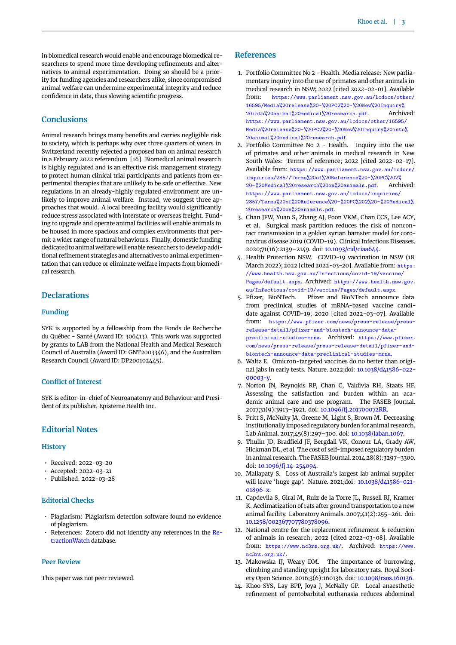in biomedical research would enable and encourage biomedical researchers to spend more time developing refnements and alternatives to animal experimentation. Doing so should be a priority for funding agencies and researchers alike, since compromised animal welfare can undermine experimental integrity and reduce confidence in data, thus slowing scientific progress.

#### **Conclusions**

Animal research brings many benefits and carries negligible risk to society, which is perhaps why over three quarters of voters in Switzerland recently rejected a proposed ban on animal research in a February 2022 referendum [\[16\]](#page-3-1). Biomedical animal research is highly regulated and is an effective risk management strategy to protect human clinical trial participants and patients from experimental therapies that are unlikely to be safe or effective. New regulations in an already-highly regulated environment are unlikely to improve animal welfare. Instead, we suggest three approaches that would. A local breeding facility would significantly reduce stress associated with interstate or overseas freight. Funding to upgrade and operate animal facilities will enable animals to be housed in more spacious and complex environments that permit a wider range of natural behaviours. Finally, domestic funding dedicated to animal welfare will enable researchers to develop additional refinement strategies and alternatives to animal experimentation that can reduce or eliminate welfare impacts from biomedical research.

### **Declarations**

#### **Funding**

SYK is supported by a fellowship from the Fonds de Recherche du Québec - Santé (Award ID: 306413). This work was supported by grants to LAB from the National Health and Medical Research Council of Australia (Award ID: GNT2003346), and the Australian Research Council (Award ID: DP200102445).

#### **Confict of Interest**

SYK is editor-in-chief of Neuroanatomy and Behaviour and President of its publisher, Episteme Health Inc.

#### **Editorial Notes**

#### **History**

- Received: 2022-03-20
- Accepted: 2022-03-21
- Published: 2022-03-28

# **Editorial Checks**

- Plagiarism: Plagiarism detection software found no evidence of plagiarism.
- References: Zotero did not identify any references in the [Re](https://retractionwatch.com)[tractionWatch](https://retractionwatch.com) database.

#### **Peer Review**

This paper was not peer reviewed.

## **References**

- <span id="page-2-0"></span>1. Portfolio Committee No 2 - Health. Media release: New parliamentary inquiry into the use of primates and other animals in medical research in NSW; 2022 [cited 2022-02-01]. Available from: [https://www.parliament.nsw.gov.au/lcdocs/other/](https://www.parliament.nsw.gov.au/lcdocs/other/16595/Media%20release%20-%20PC2%20-%20New%20Inquiry%20into%20animal%20medical%20research.pdf) [16595/Media%20release%20-%20PC2%20-%20New%20Inquiry%](https://www.parliament.nsw.gov.au/lcdocs/other/16595/Media%20release%20-%20PC2%20-%20New%20Inquiry%20into%20animal%20medical%20research.pdf) [20into%20animal%20medical%20research.pdf](https://www.parliament.nsw.gov.au/lcdocs/other/16595/Media%20release%20-%20PC2%20-%20New%20Inquiry%20into%20animal%20medical%20research.pdf). Archived: [https://www.parliament.nsw.gov.au/lcdocs/other/16595/](https://web.archive.org/web/20220201055252/https://www.parliament.nsw.gov.au/lcdocs/other/16595/Media%20release%20-%20PC2%20-%20New%20Inquiry%20into%20animal%20medical%20research.pdf) [Media%20release%20-%20PC2%20-%20New%20Inquiry%20into%](https://web.archive.org/web/20220201055252/https://www.parliament.nsw.gov.au/lcdocs/other/16595/Media%20release%20-%20PC2%20-%20New%20Inquiry%20into%20animal%20medical%20research.pdf) [20animal%20medical%20research.pdf](https://web.archive.org/web/20220201055252/https://www.parliament.nsw.gov.au/lcdocs/other/16595/Media%20release%20-%20PC2%20-%20New%20Inquiry%20into%20animal%20medical%20research.pdf).
- <span id="page-2-1"></span>2. Portfolio Committee No 2 - Health. Inquiry into the use of primates and other animals in medical research in New South Wales: Terms of reference; 2022 [cited 2022-02-17]. Available from: [https://www.parliament.nsw.gov.au/lcdocs/](https://www.parliament.nsw.gov.au/lcdocs/inquiries/2857/Terms%20of%20Reference%20-%20PC%202%20-%20Medical%20research%20on%20animals.pdf) [inquiries/2857/Terms%20of%20Reference%20-%20PC%202%](https://www.parliament.nsw.gov.au/lcdocs/inquiries/2857/Terms%20of%20Reference%20-%20PC%202%20-%20Medical%20research%20on%20animals.pdf) [20-%20Medical%20research%20on%20animals.pdf](https://www.parliament.nsw.gov.au/lcdocs/inquiries/2857/Terms%20of%20Reference%20-%20PC%202%20-%20Medical%20research%20on%20animals.pdf). Archived: [https://www.parliament.nsw.gov.au/lcdocs/inquiries/](https://web.archive.org/web/20220217031542/https://www.parliament.nsw.gov.au/lcdocs/inquiries/2857/Terms%20of%20Reference%20-%20PC%202%20-%20Medical%20research%20on%20animals.pdf) [2857/Terms%20of%20Reference%20-%20PC%202%20-%20Medical%](https://web.archive.org/web/20220217031542/https://www.parliament.nsw.gov.au/lcdocs/inquiries/2857/Terms%20of%20Reference%20-%20PC%202%20-%20Medical%20research%20on%20animals.pdf) [20research%20on%20animals.pdf](https://web.archive.org/web/20220217031542/https://www.parliament.nsw.gov.au/lcdocs/inquiries/2857/Terms%20of%20Reference%20-%20PC%202%20-%20Medical%20research%20on%20animals.pdf).
- <span id="page-2-2"></span>3. Chan JFW, Yuan S, Zhang AJ, Poon VKM, Chan CCS, Lee ACY, et al. Surgical mask partition reduces the risk of noncontact transmission in a golden syrian hamster model for coronavirus disease 2019 (COVID-19). Clinical Infectious Diseases. 2020;71(16):2139–2149. doi: [10.1093/cid/ciaa644.](https://doi.org/10.1093/cid/ciaa644)
- <span id="page-2-3"></span>4. Health Protection NSW. COVID-19 vaccination in NSW (18 March 2022); 2022 [cited 2022-03-20]. Available from: [https:](https://www.health.nsw.gov.au/Infectious/covid-19/vaccine/Pages/default.aspx) [//www.health.nsw.gov.au/Infectious/covid-19/vaccine/](https://www.health.nsw.gov.au/Infectious/covid-19/vaccine/Pages/default.aspx) [Pages/default.aspx](https://www.health.nsw.gov.au/Infectious/covid-19/vaccine/Pages/default.aspx). Archived: [https://www.health.nsw.gov.](https://web.archive.org/web/20220320115720/https://www.health.nsw.gov.au/Infectious/covid-19/vaccine/Pages/default.aspx) [au/Infectious/covid-19/vaccine/Pages/default.aspx](https://web.archive.org/web/20220320115720/https://www.health.nsw.gov.au/Infectious/covid-19/vaccine/Pages/default.aspx).
- <span id="page-2-4"></span>5. Pfizer, BioNTech. Pfizer and BioNTech announce data from preclinical studies of mRNA-based vaccine candidate against COVID-19; 2020 [cited 2022-03-07]. Available from: [https://www.pfizer.com/news/press-release/press](https://www.pfizer.com/news/press-release/press-release-detail/pfizer-and-biontech-announce-data-preclinical-studies-mrna)[release-detail/pfizer-and-biontech-announce-data](https://www.pfizer.com/news/press-release/press-release-detail/pfizer-and-biontech-announce-data-preclinical-studies-mrna)[preclinical-studies-mrna](https://www.pfizer.com/news/press-release/press-release-detail/pfizer-and-biontech-announce-data-preclinical-studies-mrna). Archived: [https://www.pfizer.](https://web.archive.org/web/20220307024140/https://www.pfizer.com/news/press-release/press-release-detail/pfizer-and-biontech-announce-data-preclinical-studies-mrna) [com/news/press-release/press-release-detail/pfizer-and](https://web.archive.org/web/20220307024140/https://www.pfizer.com/news/press-release/press-release-detail/pfizer-and-biontech-announce-data-preclinical-studies-mrna)[biontech-announce-data-preclinical-studies-mrna](https://web.archive.org/web/20220307024140/https://www.pfizer.com/news/press-release/press-release-detail/pfizer-and-biontech-announce-data-preclinical-studies-mrna).
- <span id="page-2-5"></span>6. Waltz E. Omicron-targeted vaccines do no better than original jabs in early tests. Nature. 2022;doi: [10.1038/d41586-022-](https://doi.org/10.1038/d41586-022-00003-y) [00003-y](https://doi.org/10.1038/d41586-022-00003-y).
- <span id="page-2-6"></span>7. Norton JN, Reynolds RP, Chan C, Valdivia RH, Staats HF. Assessing the satisfaction and burden within an academic animal care and use program. The FASEB Journal. 2017;31(9):3913–3921. doi: [10.1096/fj.201700072RR](https://doi.org/10.1096/fj.201700072RR).
- 8. Pritt S, McNulty JA, Greene M, Light S, Brown M. Decreasing institutionally imposed regulatory burden for animal research. Lab Animal. 2017;45(8):297–300. doi: [10.1038/laban.1067](https://doi.org/10.1038/laban.1067).
- <span id="page-2-7"></span>9. Thulin JD, Bradfield JF, Bergdall VK, Conour LA, Grady AW, Hickman DL, et al. The cost of self-imposed regulatory burden in animal research. The FASEB Journal. 2014;28(8):3297–3300. doi: [10.1096/fj.14-254094](https://doi.org/10.1096/fj.14-254094).
- <span id="page-2-8"></span>10. Mallapaty S. Loss of Australia's largest lab animal supplier will leave 'huge gap'. Nature. 2021;doi: [10.1038/d41586-021-](https://doi.org/10.1038/d41586-021-01896-x) [01896-x.](https://doi.org/10.1038/d41586-021-01896-x)
- <span id="page-2-9"></span>11. Capdevila S, Giral M, Ruiz de la Torre JL, Russell RJ, Kramer K. Acclimatization of rats after ground transportation to a new animal facility. Laboratory Animals. 2007;41(2):255–261. doi: [10.1258/002367707780378096.](https://doi.org/10.1258/002367707780378096)
- <span id="page-2-10"></span>12. National centre for the replacement refnement & reduction of animals in research; 2022 [cited 2022-03-08]. Available from: <https://www.nc3rs.org.uk/>. Archived: [https://www.](https://web.archive.org/web/20220308200647/https://www.nc3rs.org.uk/) [nc3rs.org.uk/](https://web.archive.org/web/20220308200647/https://www.nc3rs.org.uk/).
- <span id="page-2-11"></span>13. Makowska IJ, Weary DM. The importance of burrowing, climbing and standing upright for laboratory rats. Royal Society Open Science. 2016;3(6):160136. doi: [10.1098/rsos.160136](https://doi.org/10.1098/rsos.160136).
- <span id="page-2-12"></span>14. Khoo SYS, Lay BPP, Joya J, McNally GP. Local anaesthetic refnement of pentobarbital euthanasia reduces abdominal